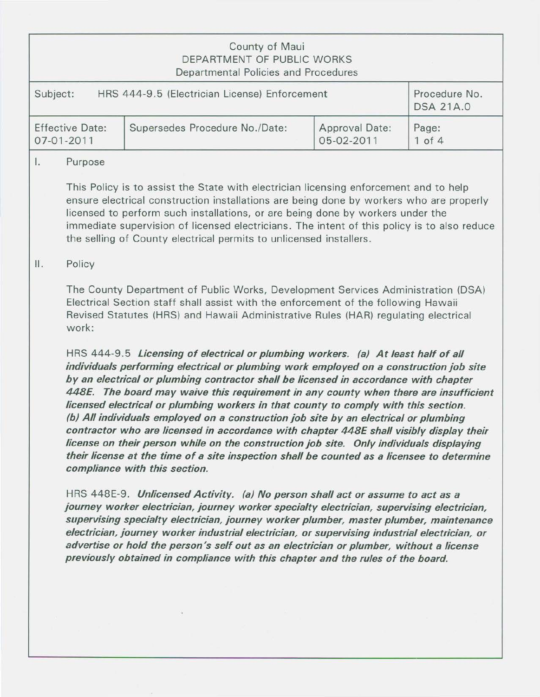## County of Maui DEPARTMENT OF PUBLIC WORKS Departmental Policies and Procedures

| Subject:               | HRS 444-9.5 (Electrician License) Enforcement |                | Procedure No.<br><b>DSA 21A.0</b> |
|------------------------|-----------------------------------------------|----------------|-----------------------------------|
| <b>Effective Date:</b> | Supersedes Procedure No./Date:                | Approval Date: | Page:                             |
| $07 - 01 - 2011$       |                                               | 05-02-2011     | $1$ of $4$                        |

#### I. Purpose

This Policy is to assist the State with electrician licensing enforcement and to help ensure electrical construction installations are being done by workers who are properly licensed to perform such installations, or are being done by workers under the immediate supervision of licensed electricians. The intent of this policy is to also reduce the selling of County electrical permits to unlicensed installers.

### II. Policy

The County Department of Public Works, Development Services Administration (DSA) Electrical Section staff shall assist with the enforcement of the following Hawaii Revised Statutes (HRS) and Hawaii Administrative Rules (HAR) regulating electrical work:

HRS 444-9.5 *Licensing of electrical or plumbing workers. (a) At least half of all individuals performing electrical or plumbing work employed on a construction job site by an electrical or plumbing contractor shall be licensed in accordance with chapter 448£. The board may waive this requirement in any county when there are insufficient licensed electrical or plumbing workers in that county to comply with this section. (b) All individuals employed on a construction job site by an electrical or plumbing contractor who are licensed in accordance with chapter 448£ shall visibly display their license on their person while on the construction job site. Only individuals displaying their license at the time of a site inspection shall be counted as a licensee to determine compliance with this section.* 

HRS 448E-9. *Unlicensed Activity. (a) No person shall act or assume to act as a journey worker electrician, journey worker specialty electrician, supervising electrician, supervising specialty electrician, journey worker plumber, master plumber, maintenance electrician, journey worker industrial electrician, or supervising industrial electrician, or advertise or hold the person's self out as an electrician or plumber, without a license previously obtained in compliance with this chapter and the rules of the board.*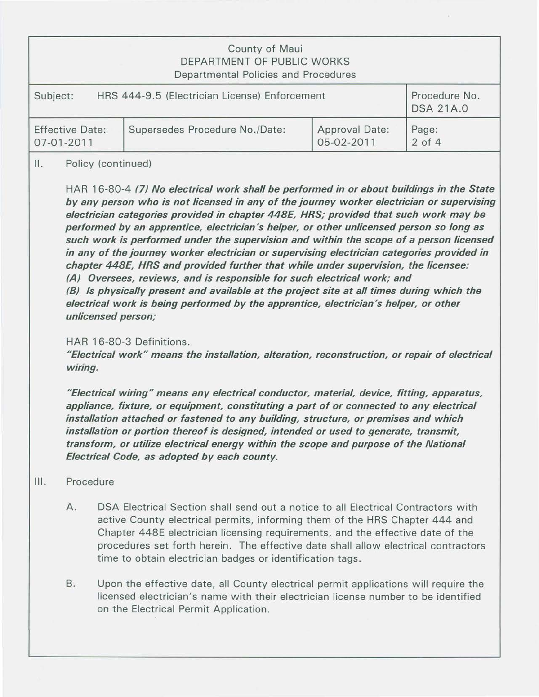| County of Maui<br>DEPARTMENT OF PUBLIC WORKS<br>Departmental Policies and Procedures |                                |                |                  |  |  |  |
|--------------------------------------------------------------------------------------|--------------------------------|----------------|------------------|--|--|--|
| HRS 444-9.5 (Electrician License) Enforcement                                        |                                |                | Procedure No.    |  |  |  |
| Subject:                                                                             |                                |                | <b>DSA 21A.0</b> |  |  |  |
| <b>Effective Date:</b>                                                               | Supersedes Procedure No./Date: | Approval Date: | Page:            |  |  |  |
| 07-01-2011                                                                           |                                | 05-02-2011     | $2$ of $4$       |  |  |  |

#### II. Policy (continued)

HAR 16-80-4 (7) No electrical work shall be performed in or about buildings in the State by any person who is not licensed in any of the journey worker electrician or supervising electrician categories provided in chapter 448E, HRS; provided that such work may be performed by an apprentice, electrician's helper, or other unlicensed person so long as such work is performed under the supervision and within the scope of a person licensed in any of the journey worker electrician or supervising electrician categories provided in chapter 448E, HRS and provided further that while under supervision, the licensee: (A) Oversees, reviews, and is responsible for such electrical work; and (B) Is physically present and available at the project site at all times during which the electrical work is being performed by the apprentice, electrician's helper, or other unlicensed person;

#### HAR 16-80-3 Definitions.

"Electrical work" means the installation, alteration, reconstruction, or repair of electrical wiring.

"Electrical wiring" means any electrical conductor, material, device, fitting, apparatus, appliance, fixture, or equipment, constituting a part of or connected to any electrical installation attached or fastened to any building, structure, or premises and which installation or portion thereof is designed, intended or used to generate, transmit, transform, or utilize electrical energy within the scope and purpose of the National Electrical Code, as adopted by each county.

#### Ill. Procedure

- A. DSA Electrical Section shall send out a notice to all Electrical Contractors with active County electrical permits, informing them of the HRS Chapter 444 and Chapter 448E electrician licensing requirements, and the effective date of the procedures set forth herein. The effective date shall allow electrical contractors time to obtain electrician badges or identification tags.
- B. Upon the effective date, all County electrical permit applications will require the licensed electrician's name with their electrician license number to be identified on the Electrical Permit Application.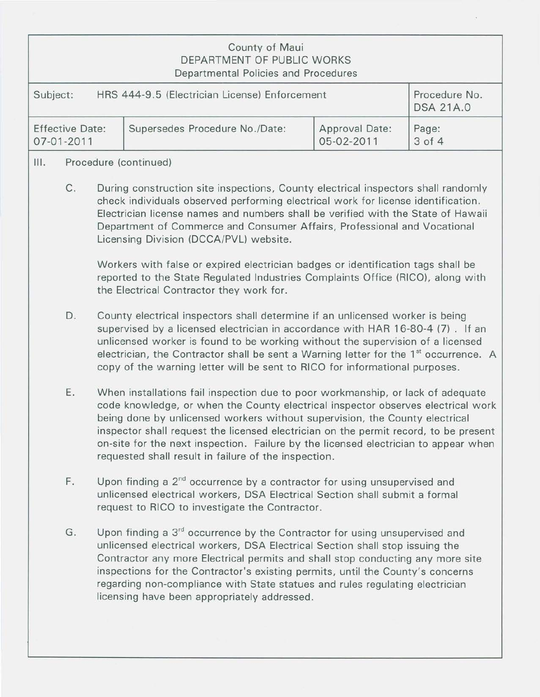# County of Maui DEPARTMENT OF PUBLIC WORKS Departmental Policies and Procedures

| Subject:               | HRS 444-9.5 (Electrician License) Enforcement |                | Procedure No.<br><b>DSA 21A.0</b> |
|------------------------|-----------------------------------------------|----------------|-----------------------------------|
| <b>Effective Date:</b> | Supersedes Procedure No./Date:                | Approval Date: | Page:                             |
| $07 - 01 - 2011$       |                                               | 05-02-2011     | 3 of 4                            |

## Ill. Procedure (continued)

C. During construction site inspections, County electrical inspectors shall randomly check individuals observed performing electrical work for license identification. Electrician license names and numbers shall be verified with the State of Hawaii Department of Commerce and Consumer Affairs, Professional and Vocational Licensing Division (DCCA/PVL) website.

Workers with false or expired electrician badges or identification tags shall be reported to the State Regulated Industries Complaints Office (RICO), along with the Electrical Contractor they work for.

- D. County electrical inspectors shall determine if an unlicensed worker is being supervised by a licensed electrician in accordance with HAR 16-80-4 (7) . If an unlicensed worker is found to be working without the supervision of a licensed electrician, the Contractor shall be sent a Warning letter for the  $1<sup>st</sup>$  occurrence. A copy of the warning letter will be sent to RICO for informational purposes.
- E. When installations fail inspection due to poor workmanship, or lack of adequate code knowledge, or when the County electrical inspector observes electrical work being done by unlicensed workers without supervision, the County electrical inspector shall request the licensed electrician on the permit record, to be present on-site for the next inspection. Failure by the licensed electrician to appear when requested shall result in failure of the inspection.
- F. Upon finding a  $2^{nd}$  occurrence by a contractor for using unsupervised and unlicensed electrical workers, DSA Electrical Section shall submit a formal request to RICO to investigate the Contractor.
- G. Upon finding a  $3<sup>rd</sup>$  occurrence by the Contractor for using unsupervised and unlicensed electrical workers, DSA Electrical Section shall stop issuing the Contractor any more Electrical permits and shall stop conducting any more site inspections for the Contractor's existing permits, until the County's concerns regarding non-compliance with State statues and rules regulating electrician licensing have been appropriately addressed.